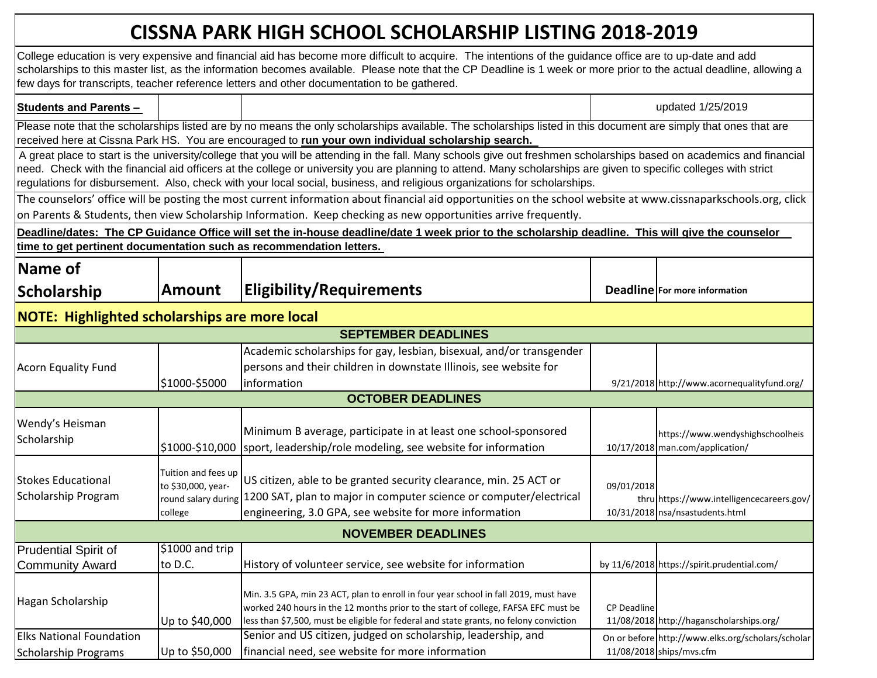## **CISSNA PARK HIGH SCHOOL SCHOLARSHIP LISTING 2018-2019**

|                                                      |                                                                             | College education is very expensive and financial aid has become more difficult to acquire. The intentions of the guidance office are to up-date and add<br>scholarships to this master list, as the information becomes available. Please note that the CP Deadline is 1 week or more prior to the actual deadline, allowing a<br>few days for transcripts, teacher reference letters and other documentation to be gathered.                                          |                    |                                                                              |  |
|------------------------------------------------------|-----------------------------------------------------------------------------|-------------------------------------------------------------------------------------------------------------------------------------------------------------------------------------------------------------------------------------------------------------------------------------------------------------------------------------------------------------------------------------------------------------------------------------------------------------------------|--------------------|------------------------------------------------------------------------------|--|
| <b>Students and Parents -</b>                        |                                                                             |                                                                                                                                                                                                                                                                                                                                                                                                                                                                         |                    | updated 1/25/2019                                                            |  |
|                                                      |                                                                             | Please note that the scholarships listed are by no means the only scholarships available. The scholarships listed in this document are simply that ones that are<br>received here at Cissna Park HS. You are encouraged to run your own individual scholarship search.                                                                                                                                                                                                  |                    |                                                                              |  |
|                                                      |                                                                             | A great place to start is the university/college that you will be attending in the fall. Many schools give out freshmen scholarships based on academics and financial<br>need. Check with the financial aid officers at the college or university you are planning to attend. Many scholarships are given to specific colleges with strict<br>regulations for disbursement. Also, check with your local social, business, and religious organizations for scholarships. |                    |                                                                              |  |
|                                                      |                                                                             | The counselors' office will be posting the most current information about financial aid opportunities on the school website at www.cissnaparkschools.org, click                                                                                                                                                                                                                                                                                                         |                    |                                                                              |  |
|                                                      |                                                                             | on Parents & Students, then view Scholarship Information. Keep checking as new opportunities arrive frequently.                                                                                                                                                                                                                                                                                                                                                         |                    |                                                                              |  |
|                                                      |                                                                             | Deadline/dates: The CP Guidance Office will set the in-house deadline/date 1 week prior to the scholarship deadline. This will give the counselor<br>time to get pertinent documentation such as recommendation letters.                                                                                                                                                                                                                                                |                    |                                                                              |  |
|                                                      |                                                                             |                                                                                                                                                                                                                                                                                                                                                                                                                                                                         |                    |                                                                              |  |
| Name of                                              |                                                                             |                                                                                                                                                                                                                                                                                                                                                                                                                                                                         |                    |                                                                              |  |
| Scholarship                                          | <b>Amount</b>                                                               | <b>Eligibility/Requirements</b>                                                                                                                                                                                                                                                                                                                                                                                                                                         |                    | Deadline For more information                                                |  |
| <b>NOTE: Highlighted scholarships are more local</b> |                                                                             |                                                                                                                                                                                                                                                                                                                                                                                                                                                                         |                    |                                                                              |  |
|                                                      |                                                                             | <b>SEPTEMBER DEADLINES</b>                                                                                                                                                                                                                                                                                                                                                                                                                                              |                    |                                                                              |  |
|                                                      |                                                                             | Academic scholarships for gay, lesbian, bisexual, and/or transgender                                                                                                                                                                                                                                                                                                                                                                                                    |                    |                                                                              |  |
| <b>Acorn Equality Fund</b>                           |                                                                             | persons and their children in downstate Illinois, see website for                                                                                                                                                                                                                                                                                                                                                                                                       |                    |                                                                              |  |
|                                                      | \$1000-\$5000                                                               | information                                                                                                                                                                                                                                                                                                                                                                                                                                                             |                    | 9/21/2018 http://www.acornequalityfund.org/                                  |  |
|                                                      |                                                                             | <b>OCTOBER DEADLINES</b>                                                                                                                                                                                                                                                                                                                                                                                                                                                |                    |                                                                              |  |
| Wendy's Heisman<br>Scholarship                       |                                                                             | Minimum B average, participate in at least one school-sponsored<br>\$1000-\$10,000   sport, leadership/role modeling, see website for information                                                                                                                                                                                                                                                                                                                       |                    | https://www.wendyshighschoolheis<br>10/17/2018 man.com/application/          |  |
| <b>Stokes Educational</b><br>Scholarship Program     | Tuition and fees up<br>to \$30,000, year-<br>round salary during<br>college | US citizen, able to be granted security clearance, min. 25 ACT or<br>1200 SAT, plan to major in computer science or computer/electrical<br>engineering, 3.0 GPA, see website for more information                                                                                                                                                                                                                                                                       | 09/01/2018         | thru https://www.intelligencecareers.gov/<br>10/31/2018 nsa/nsastudents.html |  |
| <b>NOVEMBER DEADLINES</b>                            |                                                                             |                                                                                                                                                                                                                                                                                                                                                                                                                                                                         |                    |                                                                              |  |
| <b>Prudential Spirit of</b>                          | \$1000 and trip                                                             |                                                                                                                                                                                                                                                                                                                                                                                                                                                                         |                    |                                                                              |  |
| <b>Community Award</b>                               | to D.C.                                                                     | History of volunteer service, see website for information                                                                                                                                                                                                                                                                                                                                                                                                               |                    | by 11/6/2018 https://spirit.prudential.com/                                  |  |
| Hagan Scholarship                                    | Up to \$40,000                                                              | Min. 3.5 GPA, min 23 ACT, plan to enroll in four year school in fall 2019, must have<br>worked 240 hours in the 12 months prior to the start of college, FAFSA EFC must be<br>less than \$7,500, must be eligible for federal and state grants, no felony conviction                                                                                                                                                                                                    | <b>CP Deadline</b> | 11/08/2018 http://haganscholarships.org/                                     |  |
| <b>Elks National Foundation</b>                      |                                                                             | Senior and US citizen, judged on scholarship, leadership, and                                                                                                                                                                                                                                                                                                                                                                                                           |                    | On or before http://www.elks.org/scholars/scholar                            |  |
| <b>Scholarship Programs</b>                          | Up to \$50,000                                                              | financial need, see website for more information                                                                                                                                                                                                                                                                                                                                                                                                                        |                    | 11/08/2018 ships/mvs.cfm                                                     |  |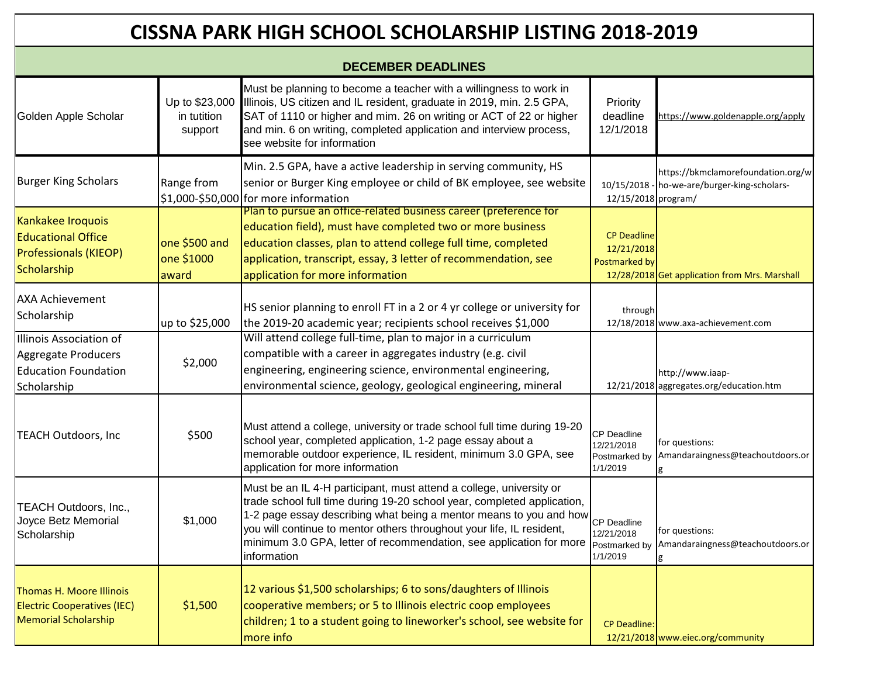| <b>CISSNA PARK HIGH SCHOOL SCHOLARSHIP LISTING 2018-2019</b>                                  |                                          |                                                                                                                                                                                                                                                                                                                                                                                     |                                                               |                                                                                    |  |
|-----------------------------------------------------------------------------------------------|------------------------------------------|-------------------------------------------------------------------------------------------------------------------------------------------------------------------------------------------------------------------------------------------------------------------------------------------------------------------------------------------------------------------------------------|---------------------------------------------------------------|------------------------------------------------------------------------------------|--|
| <b>DECEMBER DEADLINES</b>                                                                     |                                          |                                                                                                                                                                                                                                                                                                                                                                                     |                                                               |                                                                                    |  |
| Golden Apple Scholar                                                                          | Up to \$23,000<br>in tutition<br>support | Must be planning to become a teacher with a willingness to work in<br>Illinois, US citizen and IL resident, graduate in 2019, min. 2.5 GPA,<br>SAT of 1110 or higher and mim. 26 on writing or ACT of 22 or higher<br>and min. 6 on writing, completed application and interview process,<br>see website for information                                                            | Priority<br>deadline<br>12/1/2018                             | https://www.goldenapple.org/apply                                                  |  |
| <b>Burger King Scholars</b>                                                                   | Range from                               | Min. 2.5 GPA, have a active leadership in serving community, HS<br>senior or Burger King employee or child of BK employee, see website<br>\$1,000-\$50,000 for more information                                                                                                                                                                                                     | 12/15/2018 program/                                           | https://bkmclamorefoundation.org/w<br>10/15/2018 - ho-we-are/burger-king-scholars- |  |
| Kankakee Iroquois<br><b>Educational Office</b><br><b>Professionals (KIEOP)</b><br>Scholarship | one \$500 and<br>one \$1000<br>award     | Plan to pursue an office-related business career (preference for<br>education field), must have completed two or more business<br>education classes, plan to attend college full time, completed<br>application, transcript, essay, 3 letter of recommendation, see<br>application for more information                                                                             | <b>CP Deadline</b><br>12/21/2018<br>Postmarked by             | 12/28/2018 Get application from Mrs. Marshall                                      |  |
| <b>AXA Achievement</b><br>Scholarship                                                         | up to \$25,000                           | HS senior planning to enroll FT in a 2 or 4 yr college or university for<br>the 2019-20 academic year; recipients school receives \$1,000                                                                                                                                                                                                                                           | through                                                       | 12/18/2018 www.axa-achievement.com                                                 |  |
| Illinois Association of<br>Aggregate Producers<br><b>Education Foundation</b><br>Scholarship  | \$2,000                                  | Will attend college full-time, plan to major in a curriculum<br>compatible with a career in aggregates industry (e.g. civil<br>engineering, engineering science, environmental engineering,<br>environmental science, geology, geological engineering, mineral                                                                                                                      |                                                               | http://www.iaap-<br>12/21/2018 aggregates.org/education.htm                        |  |
| <b>TEACH Outdoors, Inc.</b>                                                                   | \$500                                    | Must attend a college, university or trade school full time during 19-20<br>school year, completed application, 1-2 page essay about a<br>memorable outdoor experience, IL resident, minimum 3.0 GPA, see<br>application for more information                                                                                                                                       | <b>CP Deadline</b><br>12/21/2018<br>Postmarked by<br>1/1/2019 | for questions:<br>Amandaraingness@teachoutdoors.or                                 |  |
| TEACH Outdoors, Inc.,<br>Joyce Betz Memorial<br>Scholarship                                   | \$1,000                                  | Must be an IL 4-H participant, must attend a college, university or<br>trade school full time during 19-20 school year, completed application,<br>1-2 page essay describing what being a mentor means to you and how<br>you will continue to mentor others throughout your life, IL resident,<br>minimum 3.0 GPA, letter of recommendation, see application for more<br>information | <b>CP</b> Deadline<br>12/21/2018<br>Postmarked by<br>1/1/2019 | for questions:<br>Amandaraingness@teachoutdoors.or                                 |  |
| Thomas H. Moore Illinois<br><b>Electric Cooperatives (IEC)</b><br><b>Memorial Scholarship</b> | \$1,500                                  | 12 various \$1,500 scholarships; 6 to sons/daughters of Illinois<br>cooperative members; or 5 to Illinois electric coop employees<br>children; 1 to a student going to lineworker's school, see website for<br>more info                                                                                                                                                            | <b>CP Deadline:</b>                                           | 12/21/2018 www.eiec.org/community                                                  |  |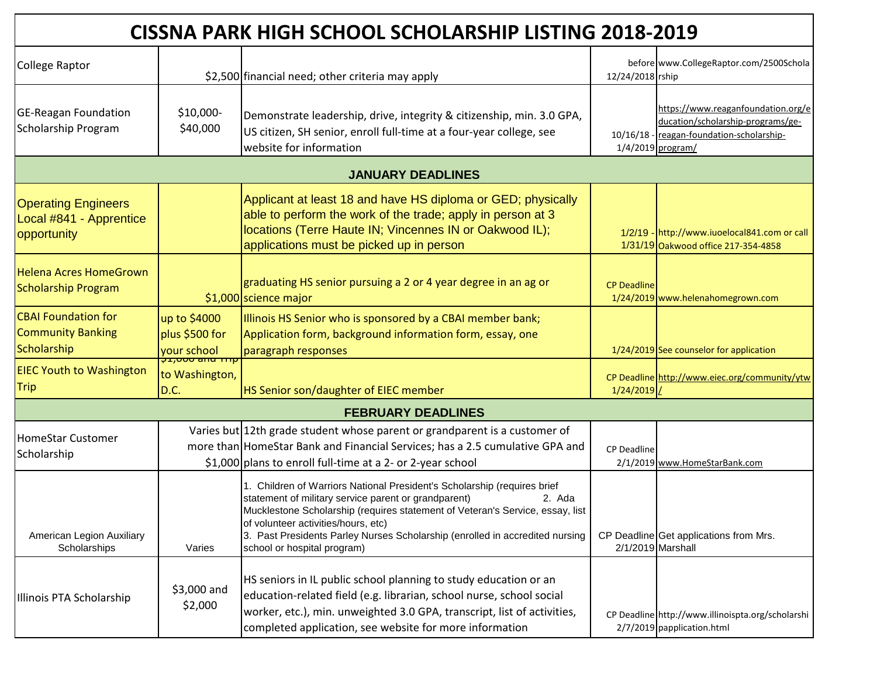| CISSNA PARK HIGH SCHOOL SCHOLARSHIP LISTING 2018-2019                 |                                                            |                                                                                                                                                                                                                                                                                                                                                                                   |                    |                                                                                                                                           |  |
|-----------------------------------------------------------------------|------------------------------------------------------------|-----------------------------------------------------------------------------------------------------------------------------------------------------------------------------------------------------------------------------------------------------------------------------------------------------------------------------------------------------------------------------------|--------------------|-------------------------------------------------------------------------------------------------------------------------------------------|--|
| College Raptor                                                        |                                                            | \$2,500 financial need; other criteria may apply                                                                                                                                                                                                                                                                                                                                  | 12/24/2018 rship   | before www.CollegeRaptor.com/2500Schola                                                                                                   |  |
| <b>GE-Reagan Foundation</b><br>Scholarship Program                    | \$10,000-<br>\$40,000                                      | Demonstrate leadership, drive, integrity & citizenship, min. 3.0 GPA,<br>US citizen, SH senior, enroll full-time at a four-year college, see<br>website for information                                                                                                                                                                                                           |                    | https://www.reaganfoundation.org/e<br>ducation/scholarship-programs/ge-<br>10/16/18 - reagan-foundation-scholarship-<br>1/4/2019 program/ |  |
|                                                                       |                                                            | <b>JANUARY DEADLINES</b>                                                                                                                                                                                                                                                                                                                                                          |                    |                                                                                                                                           |  |
| <b>Operating Engineers</b><br>Local #841 - Apprentice<br>opportunity  |                                                            | Applicant at least 18 and have HS diploma or GED; physically<br>able to perform the work of the trade; apply in person at 3<br>locations (Terre Haute IN; Vincennes IN or Oakwood IL);<br>applications must be picked up in person                                                                                                                                                |                    | 1/2/19 - http://www.iuoelocal841.com or call<br>1/31/19 Oakwood office 217-354-4858                                                       |  |
| <b>Helena Acres HomeGrown</b><br><b>Scholarship Program</b>           |                                                            | graduating HS senior pursuing a 2 or 4 year degree in an ag or<br>\$1,000 science major                                                                                                                                                                                                                                                                                           | <b>CP Deadline</b> | 1/24/2019 www.helenahomegrown.com                                                                                                         |  |
| <b>CBAI Foundation for</b><br><b>Community Banking</b><br>Scholarship | up to \$4000<br>plus \$500 for<br>your school              | Illinois HS Senior who is sponsored by a CBAI member bank;<br>Application form, background information form, essay, one<br>paragraph responses                                                                                                                                                                                                                                    |                    | 1/24/2019 See counselor for application                                                                                                   |  |
| <b>EIEC Youth to Washington</b><br><b>Trip</b>                        | <del>que ou outre descript</del><br>to Washington,<br>D.C. | HS Senior son/daughter of EIEC member                                                                                                                                                                                                                                                                                                                                             | $1/24/2019$ /      | CP Deadline http://www.eiec.org/community/ytw                                                                                             |  |
|                                                                       |                                                            | <b>FEBRUARY DEADLINES</b>                                                                                                                                                                                                                                                                                                                                                         |                    |                                                                                                                                           |  |
| HomeStar Customer<br>Scholarship                                      |                                                            | Varies but 12th grade student whose parent or grandparent is a customer of<br>more than HomeStar Bank and Financial Services; has a 2.5 cumulative GPA and<br>\$1,000 plans to enroll full-time at a 2- or 2-year school                                                                                                                                                          | <b>CP Deadline</b> | 2/1/2019 www.HomeStarBank.com                                                                                                             |  |
| American Legion Auxiliary<br>Scholarships                             | Varies                                                     | 1. Children of Warriors National President's Scholarship (requires brief<br>statement of military service parent or grandparent)<br>2. Ada<br>Mucklestone Scholarship (requires statement of Veteran's Service, essay, list<br>of volunteer activities/hours, etc)<br>3. Past Presidents Parley Nurses Scholarship (enrolled in accredited nursing<br>school or hospital program) |                    | CP Deadline Get applications from Mrs.<br>2/1/2019 Marshall                                                                               |  |
| Illinois PTA Scholarship                                              | \$3,000 and<br>\$2,000                                     | HS seniors in IL public school planning to study education or an<br>education-related field (e.g. librarian, school nurse, school social<br>worker, etc.), min. unweighted 3.0 GPA, transcript, list of activities,<br>completed application, see website for more information                                                                                                    |                    | CP Deadline http://www.illinoispta.org/scholarshi<br>2/7/2019 papplication.html                                                           |  |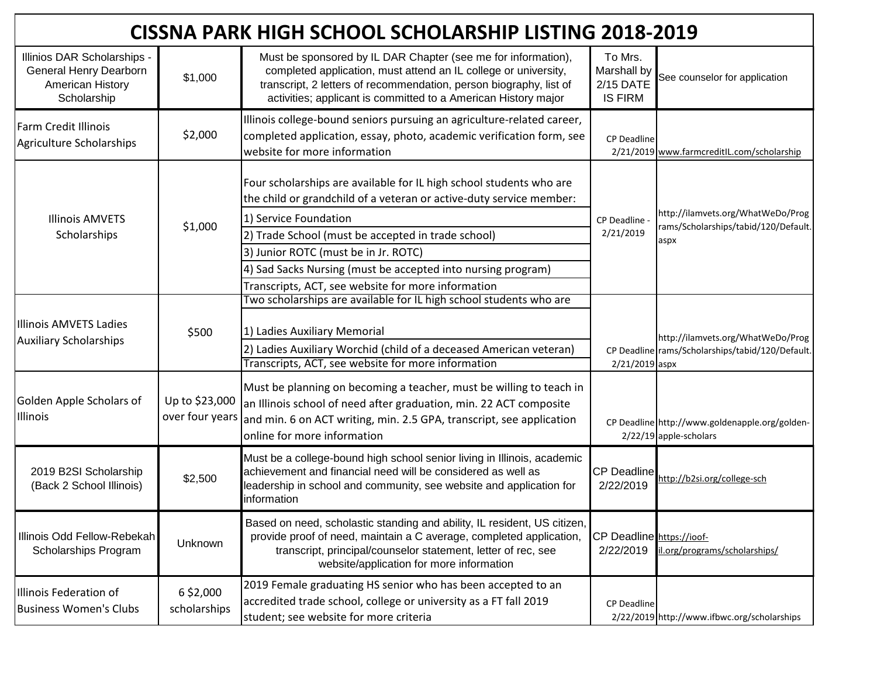| <b>CISSNA PARK HIGH SCHOOL SCHOLARSHIP LISTING 2018-2019</b>                             |                                   |                                                                                                                                                                                                                                                                                                                                                                                         |                                                       |                                                                                       |
|------------------------------------------------------------------------------------------|-----------------------------------|-----------------------------------------------------------------------------------------------------------------------------------------------------------------------------------------------------------------------------------------------------------------------------------------------------------------------------------------------------------------------------------------|-------------------------------------------------------|---------------------------------------------------------------------------------------|
| Illinios DAR Scholarships -<br>General Henry Dearborn<br>American History<br>Scholarship | \$1,000                           | Must be sponsored by IL DAR Chapter (see me for information),<br>completed application, must attend an IL college or university,<br>transcript, 2 letters of recommendation, person biography, list of<br>activities; applicant is committed to a American History major                                                                                                                | To Mrs.<br>Marshall by<br>2/15 DATE<br><b>IS FIRM</b> | See counselor for application                                                         |
| <b>Farm Credit Illinois</b><br>Agriculture Scholarships                                  | \$2,000                           | Illinois college-bound seniors pursuing an agriculture-related career,<br>completed application, essay, photo, academic verification form, see<br>website for more information                                                                                                                                                                                                          | <b>CP Deadline</b>                                    | 2/21/2019 www.farmcreditIL.com/scholarship                                            |
| <b>Illinois AMVETS</b><br>Scholarships                                                   | \$1,000                           | Four scholarships are available for IL high school students who are<br>the child or grandchild of a veteran or active-duty service member:<br>1) Service Foundation<br>2) Trade School (must be accepted in trade school)<br>3) Junior ROTC (must be in Jr. ROTC)<br>4) Sad Sacks Nursing (must be accepted into nursing program)<br>Transcripts, ACT, see website for more information | <b>CP Deadline</b><br>2/21/2019                       | http://ilamvets.org/WhatWeDo/Prog<br>rams/Scholarships/tabid/120/Default.<br>aspx     |
| IIllinois AMVETS Ladies<br><b>Auxiliary Scholarships</b>                                 | \$500                             | Two scholarships are available for IL high school students who are<br>1) Ladies Auxiliary Memorial<br>2) Ladies Auxiliary Worchid (child of a deceased American veteran)<br>Transcripts, ACT, see website for more information                                                                                                                                                          | 2/21/2019 aspx                                        | http://ilamvets.org/WhatWeDo/Prog<br>CP Deadline rams/Scholarships/tabid/120/Default. |
| Golden Apple Scholars of<br>Illinois                                                     | Up to \$23,000<br>over four years | Must be planning on becoming a teacher, must be willing to teach in<br>an Illinois school of need after graduation, min. 22 ACT composite<br>and min. 6 on ACT writing, min. 2.5 GPA, transcript, see application<br>online for more information                                                                                                                                        |                                                       | CP Deadline http://www.goldenapple.org/golden-<br>2/22/19 apple-scholars              |
| 2019 B2SI Scholarship<br>(Back 2 School Illinois)                                        | \$2,500                           | Must be a college-bound high school senior living in Illinois, academic<br>achievement and financial need will be considered as well as<br>leadership in school and community, see website and application for<br>information                                                                                                                                                           | <b>CP Deadline</b><br>2/22/2019                       | http://b2si.org/college-sch                                                           |
| Illinois Odd Fellow-Rebekah<br>Scholarships Program                                      | Unknown                           | Based on need, scholastic standing and ability, IL resident, US citizen,<br>provide proof of need, maintain a C average, completed application,<br>transcript, principal/counselor statement, letter of rec, see<br>website/application for more information                                                                                                                            | CP Deadline https://ioof-<br>2/22/2019                | il.org/programs/scholarships/                                                         |
| Illinois Federation of<br><b>Business Women's Clubs</b>                                  | 6 \$2,000<br>scholarships         | 2019 Female graduating HS senior who has been accepted to an<br>accredited trade school, college or university as a FT fall 2019<br>student; see website for more criteria                                                                                                                                                                                                              | CP Deadline                                           | 2/22/2019 http://www.ifbwc.org/scholarships                                           |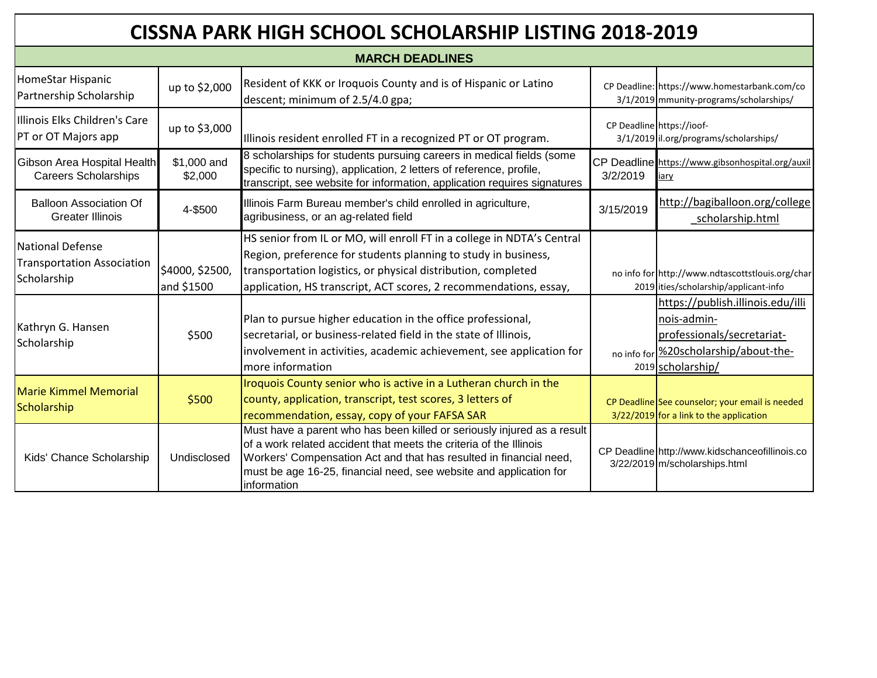| <b>CISSNA PARK HIGH SCHOOL SCHOLARSHIP LISTING 2018-2019</b>                |                               |                                                                                                                                                                                                                                                                                                          |           |                                                                                                                                              |
|-----------------------------------------------------------------------------|-------------------------------|----------------------------------------------------------------------------------------------------------------------------------------------------------------------------------------------------------------------------------------------------------------------------------------------------------|-----------|----------------------------------------------------------------------------------------------------------------------------------------------|
|                                                                             |                               | <b>MARCH DEADLINES</b>                                                                                                                                                                                                                                                                                   |           |                                                                                                                                              |
| HomeStar Hispanic<br>Partnership Scholarship                                | up to \$2,000                 | Resident of KKK or Iroquois County and is of Hispanic or Latino<br>descent; minimum of 2.5/4.0 gpa;                                                                                                                                                                                                      |           | CP Deadline: https://www.homestarbank.com/co<br>3/1/2019 mmunity-programs/scholarships/                                                      |
| Illinois Elks Children's Care<br>PT or OT Majors app                        | up to \$3,000                 | Illinois resident enrolled FT in a recognized PT or OT program.                                                                                                                                                                                                                                          |           | CP Deadline https://ioof-<br>3/1/2019 il.org/programs/scholarships/                                                                          |
| Gibson Area Hospital Health<br><b>Careers Scholarships</b>                  | \$1,000 and<br>\$2,000        | 8 scholarships for students pursuing careers in medical fields (some<br>specific to nursing), application, 2 letters of reference, profile,<br>transcript, see website for information, application requires signatures                                                                                  | 3/2/2019  | CP Deadline https://www.gibsonhospital.org/auxil<br>iary                                                                                     |
| <b>Balloon Association Of</b><br><b>Greater Illinois</b>                    | 4-\$500                       | Illinois Farm Bureau member's child enrolled in agriculture,<br>agribusiness, or an ag-related field                                                                                                                                                                                                     | 3/15/2019 | http://bagiballoon.org/college<br>_scholarship.html                                                                                          |
| <b>National Defense</b><br><b>Transportation Association</b><br>Scholarship | \$4000, \$2500,<br>and \$1500 | HS senior from IL or MO, will enroll FT in a college in NDTA's Central<br>Region, preference for students planning to study in business,<br>transportation logistics, or physical distribution, completed<br>application, HS transcript, ACT scores, 2 recommendations, essay,                           |           | no info for http://www.ndtascottstlouis.org/char<br>2019 ities/scholarship/applicant-info                                                    |
| Kathryn G. Hansen<br>Scholarship                                            | \$500                         | Plan to pursue higher education in the office professional,<br>secretarial, or business-related field in the state of Illinois,<br>involvement in activities, academic achievement, see application for<br>more information                                                                              |           | https://publish.illinois.edu/illi<br>nois-admin-<br>professionals/secretariat-<br>no info for %20scholarship/about-the-<br>2019 scholarship/ |
| <b>Marie Kimmel Memorial</b><br>Scholarship                                 | \$500                         | Iroquois County senior who is active in a Lutheran church in the<br>county, application, transcript, test scores, 3 letters of<br>recommendation, essay, copy of your FAFSA SAR                                                                                                                          |           | CP Deadline See counselor; your email is needed<br>3/22/2019 for a link to the application                                                   |
| Kids' Chance Scholarship                                                    | Undisclosed                   | Must have a parent who has been killed or seriously injured as a result<br>of a work related accident that meets the criteria of the Illinois<br>Workers' Compensation Act and that has resulted in financial need,<br>must be age 16-25, financial need, see website and application for<br>information |           | CP Deadline http://www.kidschanceofillinois.co<br>3/22/2019 m/scholarships.html                                                              |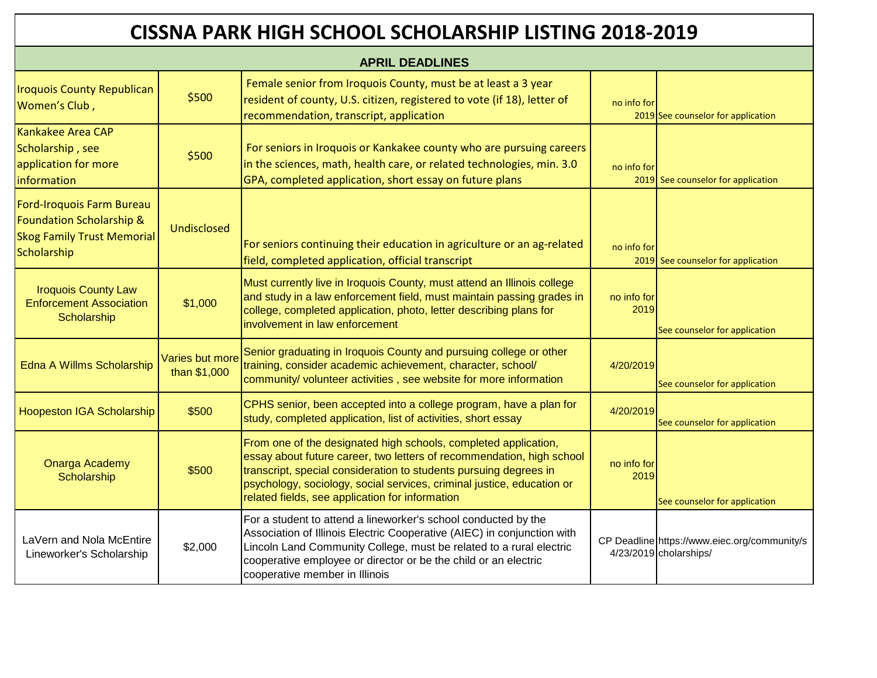| <b>APRIL DEADLINES</b>                                                                                    |                                 |                                                                                                                                                                                                                                                                                                                                            |                     |                                                                        |
|-----------------------------------------------------------------------------------------------------------|---------------------------------|--------------------------------------------------------------------------------------------------------------------------------------------------------------------------------------------------------------------------------------------------------------------------------------------------------------------------------------------|---------------------|------------------------------------------------------------------------|
| <b>Iroquois County Republican</b><br>Women's Club,                                                        | \$500                           | Female senior from Iroquois County, must be at least a 3 year<br>resident of county, U.S. citizen, registered to vote (if 18), letter of<br>recommendation, transcript, application                                                                                                                                                        | no info for         | 2019 See counselor for application                                     |
| Kankakee Area CAP<br>Scholarship, see<br>application for more<br>information                              | \$500                           | For seniors in Iroquois or Kankakee county who are pursuing careers<br>in the sciences, math, health care, or related technologies, min. 3.0<br>GPA, completed application, short essay on future plans                                                                                                                                    | no info for         | 2019 See counselor for application                                     |
| Ford-Iroquois Farm Bureau<br>Foundation Scholarship &<br><b>Skog Family Trust Memorial</b><br>Scholarship | <b>Undisclosed</b>              | For seniors continuing their education in agriculture or an ag-related<br>field, completed application, official transcript                                                                                                                                                                                                                | no info for         | 2019 See counselor for application                                     |
| <b>Iroquois County Law</b><br><b>Enforcement Association</b><br>Scholarship                               | \$1,000                         | Must currently live in Iroquois County, must attend an Illinois college<br>and study in a law enforcement field, must maintain passing grades in<br>college, completed application, photo, letter describing plans for<br>involvement in law enforcement                                                                                   | no info for<br>2019 | See counselor for application                                          |
| Edna A Willms Scholarship                                                                                 | Varies but more<br>than \$1,000 | Senior graduating in Iroquois County and pursuing college or other<br>training, consider academic achievement, character, school/<br>community/ volunteer activities, see website for more information                                                                                                                                     | 4/20/2019           | See counselor for application                                          |
| Hoopeston IGA Scholarship                                                                                 | \$500                           | CPHS senior, been accepted into a college program, have a plan for<br>study, completed application, list of activities, short essay                                                                                                                                                                                                        | 4/20/2019           | See counselor for application                                          |
| <b>Onarga Academy</b><br>Scholarship                                                                      | \$500                           | From one of the designated high schools, completed application,<br>essay about future career, two letters of recommendation, high school<br>transcript, special consideration to students pursuing degrees in<br>psychology, sociology, social services, criminal justice, education or<br>related fields, see application for information | no info for<br>2019 | See counselor for application                                          |
| LaVern and Nola McEntire<br>Lineworker's Scholarship                                                      | \$2,000                         | For a student to attend a lineworker's school conducted by the<br>Association of Illinois Electric Cooperative (AIEC) in conjunction with<br>Lincoln Land Community College, must be related to a rural electric<br>cooperative employee or director or be the child or an electric<br>cooperative member in Illinois                      |                     | CP Deadline https://www.eiec.org/community/s<br>4/23/2019 cholarships/ |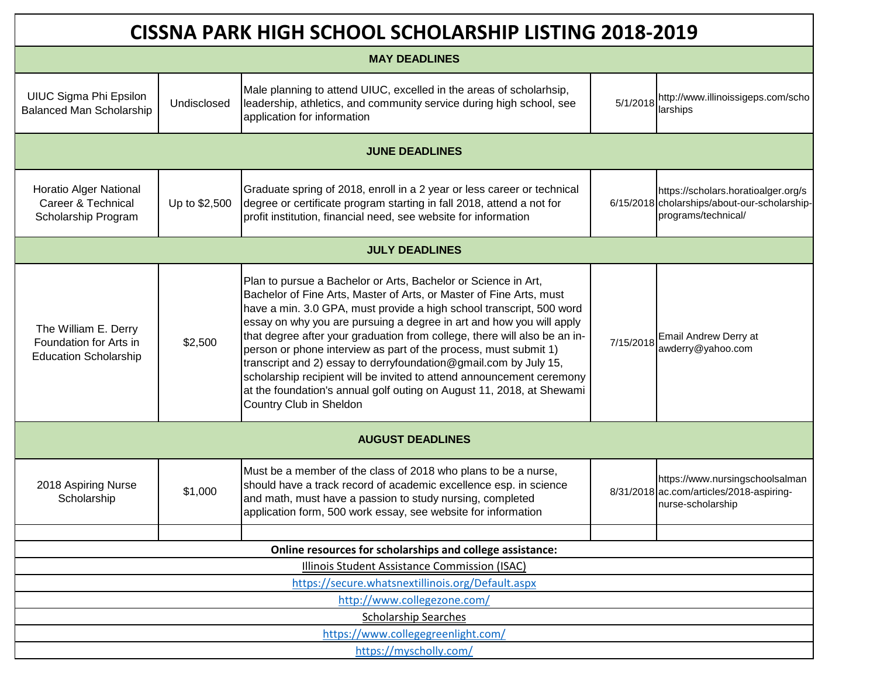| CISSNA PARK HIGH SCHOOL SCHOLARSHIP LISTING 2018-2019                          |               |                                                                                                                                                                                                                                                                                                                                                                                                                                                                                                                                                                                                                                                                                         |           |                                                                                                            |
|--------------------------------------------------------------------------------|---------------|-----------------------------------------------------------------------------------------------------------------------------------------------------------------------------------------------------------------------------------------------------------------------------------------------------------------------------------------------------------------------------------------------------------------------------------------------------------------------------------------------------------------------------------------------------------------------------------------------------------------------------------------------------------------------------------------|-----------|------------------------------------------------------------------------------------------------------------|
| <b>MAY DEADLINES</b>                                                           |               |                                                                                                                                                                                                                                                                                                                                                                                                                                                                                                                                                                                                                                                                                         |           |                                                                                                            |
| UIUC Sigma Phi Epsilon<br><b>Balanced Man Scholarship</b>                      | Undisclosed   | Male planning to attend UIUC, excelled in the areas of scholarhsip,<br>leadership, athletics, and community service during high school, see<br>application for information                                                                                                                                                                                                                                                                                                                                                                                                                                                                                                              | 5/1/2018  | http://www.illinoissigeps.com/scho<br>larships                                                             |
|                                                                                |               | <b>JUNE DEADLINES</b>                                                                                                                                                                                                                                                                                                                                                                                                                                                                                                                                                                                                                                                                   |           |                                                                                                            |
| <b>Horatio Alger National</b><br>Career & Technical<br>Scholarship Program     | Up to \$2,500 | Graduate spring of 2018, enroll in a 2 year or less career or technical<br>degree or certificate program starting in fall 2018, attend a not for<br>profit institution, financial need, see website for information                                                                                                                                                                                                                                                                                                                                                                                                                                                                     |           | https://scholars.horatioalger.org/s<br>6/15/2018 cholarships/about-our-scholarship-<br>programs/technical/ |
|                                                                                |               | <b>JULY DEADLINES</b>                                                                                                                                                                                                                                                                                                                                                                                                                                                                                                                                                                                                                                                                   |           |                                                                                                            |
| The William E. Derry<br>Foundation for Arts in<br><b>Education Scholarship</b> | \$2,500       | Plan to pursue a Bachelor or Arts, Bachelor or Science in Art,<br>Bachelor of Fine Arts, Master of Arts, or Master of Fine Arts, must<br>have a min. 3.0 GPA, must provide a high school transcript, 500 word<br>essay on why you are pursuing a degree in art and how you will apply<br>that degree after your graduation from college, there will also be an in-<br>person or phone interview as part of the process, must submit 1)<br>transcript and 2) essay to derryfoundation@gmail.com by July 15,<br>scholarship recipient will be invited to attend announcement ceremony<br>at the foundation's annual golf outing on August 11, 2018, at Shewami<br>Country Club in Sheldon | 7/15/2018 | Email Andrew Derry at<br>awderry@yahoo.com                                                                 |
| <b>AUGUST DEADLINES</b>                                                        |               |                                                                                                                                                                                                                                                                                                                                                                                                                                                                                                                                                                                                                                                                                         |           |                                                                                                            |
| 2018 Aspiring Nurse<br>Scholarship                                             | \$1,000       | Must be a member of the class of 2018 who plans to be a nurse,<br>should have a track record of academic excellence esp. in science<br>and math, must have a passion to study nursing, completed<br>application form, 500 work essay, see website for information                                                                                                                                                                                                                                                                                                                                                                                                                       |           | https://www.nursingschoolsalman<br>8/31/2018 ac.com/articles/2018-aspiring-<br>nurse-scholarship           |
|                                                                                |               | Online resources for scholarships and college assistance:                                                                                                                                                                                                                                                                                                                                                                                                                                                                                                                                                                                                                               |           |                                                                                                            |
| Illinois Student Assistance Commission (ISAC)                                  |               |                                                                                                                                                                                                                                                                                                                                                                                                                                                                                                                                                                                                                                                                                         |           |                                                                                                            |
| https://secure.whatsnextillinois.org/Default.aspx                              |               |                                                                                                                                                                                                                                                                                                                                                                                                                                                                                                                                                                                                                                                                                         |           |                                                                                                            |
| http://www.collegezone.com/                                                    |               |                                                                                                                                                                                                                                                                                                                                                                                                                                                                                                                                                                                                                                                                                         |           |                                                                                                            |
| <b>Scholarship Searches</b>                                                    |               |                                                                                                                                                                                                                                                                                                                                                                                                                                                                                                                                                                                                                                                                                         |           |                                                                                                            |
| https://www.collegegreenlight.com/                                             |               |                                                                                                                                                                                                                                                                                                                                                                                                                                                                                                                                                                                                                                                                                         |           |                                                                                                            |
| https://myscholly.com/                                                         |               |                                                                                                                                                                                                                                                                                                                                                                                                                                                                                                                                                                                                                                                                                         |           |                                                                                                            |